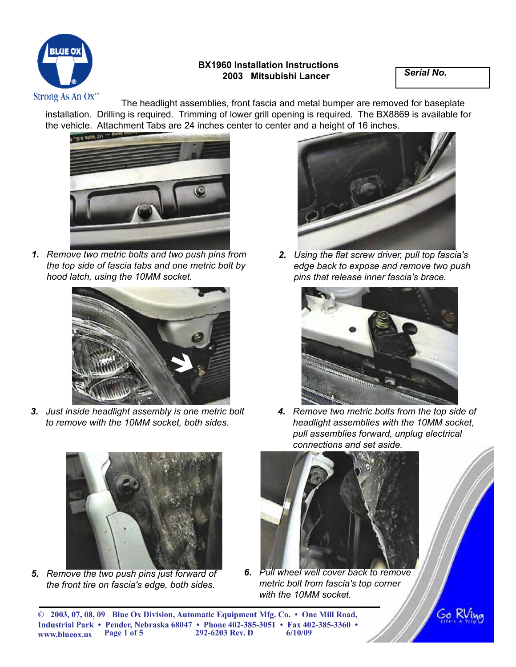

## **BX1960 Installation Instructions 2003 Mitsubishi Lancer** *Serial No.*

Strong As An  $Ox^{\pi}$ <br>The headlight assemblies, front fascia and metal bumper are removed for baseplate installation. Drilling is required. Trimming of lower grill opening is required. The BX8869 is available for the vehicle. Attachment Tabs are 24 inches center to center and a height of 16 inches.



*1. Remove two metric bolts and two push pins from the top side of fascia tabs and one metric bolt by hood latch, using the 10MM socket.*



*3. Just inside headlight assembly is one metric bolt to remove with the 10MM socket, both sides.*



*5. Remove the two push pins just forward of the front tire on fascia's edge, both sides.*



*2. Using the flat screw driver, pull top fascia's edge back to expose and remove two push pins that release inner fascia's brace.*



*4. Remove two metric bolts from the top side of headlight assemblies with the 10MM socket, pull assemblies forward, unplug electrical connections and set aside.*



*6. Pull wheel well cover back to remove metric bolt from fascia's top corner with the 10MM socket.*

Go K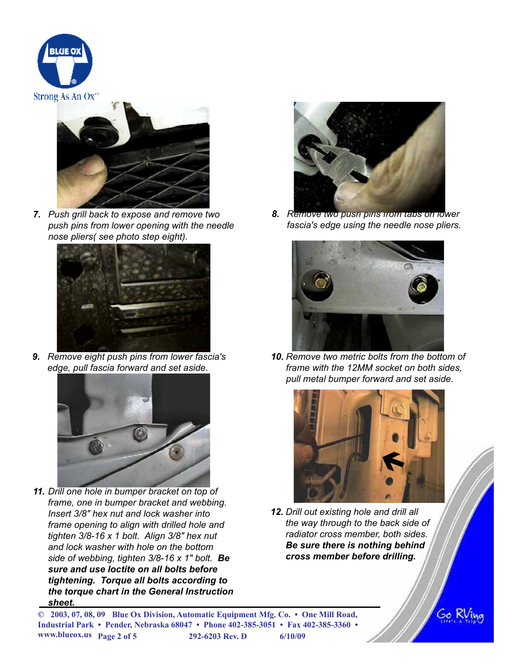



*7. Push grill back to expose and remove two push pins from lower opening with the needle nose pliers( see photo step eight).*



*9. Remove eight push pins from lower fascia's edge, pull fascia forward and set aside.*



*11. Drill one hole in bumper bracket on top of frame, one in bumper bracket and webbing. Insert 3/8" hex nut and lock washer into frame opening to align with drilled hole and tighten 3/8-16 x 1 bolt. Align 3/8" hex nut and lock washer with hole on the bottom side of webbing, tighten 3/8-16 x 1" bolt. Be sure and use loctite on all bolts before tightening. Torque all bolts according to the torque chart in the General Instruction sheet.*



*8. Remove two push pins from tabs on lower fascia's edge using the needle nose pliers.*



*10. Remove two metric bolts from the bottom of frame with the 12MM socket on both sides, pull metal bumper forward and set aside.*



*12. Drill out existing hole and drill all the way through to the back side of radiator cross member, both sides. Be sure there is nothing behind cross member before drilling.*

**© 2003, 07, 08, 09 Blue Ox Division, Automatic Equipment Mfg. Co. • One Mill Road, Industrial Park • Pender, Nebraska 68047 • Phone 402-385-3051 • Fax 402-385-3360 • www.blueox.us Page 2 of 5 292-6203 Rev. D 6/10/09** 

Go K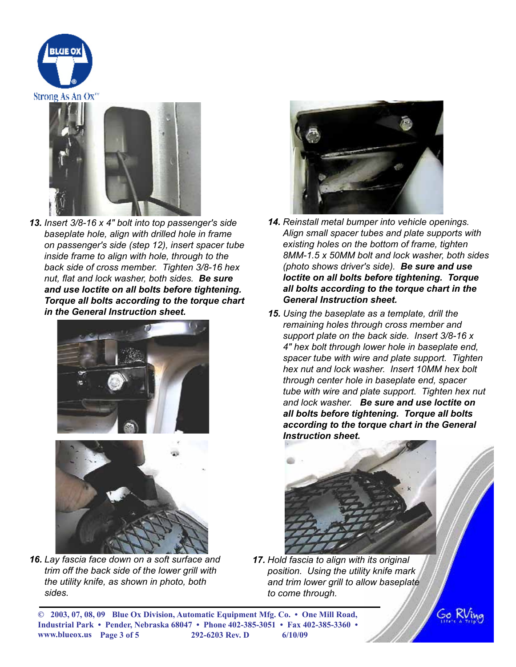



*13. Insert 3/8-16 x 4" bolt into top passenger's side baseplate hole, align with drilled hole in frame on passenger's side (step 12), insert spacer tube inside frame to align with hole, through to the back side of cross member. Tighten 3/8-16 hex nut, flat and lock washer, both sides. Be sure and use loctite on all bolts before tightening. Torque all bolts according to the torque chart in the General Instruction sheet.*





*16. Lay fascia face down on a soft surface and trim off the back side of the lower grill with the utility knife, as shown in photo, both sides.*



- *14. Reinstall metal bumper into vehicle openings. Align small spacer tubes and plate supports with existing holes on the bottom of frame, tighten 8MM-1.5 x 50MM bolt and lock washer, both sides (photo shows driver's side). Be sure and use loctite on all bolts before tightening. Torque all bolts according to the torque chart in the General Instruction sheet.*
- *15. Using the baseplate as a template, drill the remaining holes through cross member and support plate on the back side. Insert 3/8-16 x 4" hex bolt through lower hole in baseplate end, spacer tube with wire and plate support. Tighten hex nut and lock washer. Insert 10MM hex bolt through center hole in baseplate end, spacer tube with wire and plate support. Tighten hex nut and lock washer. Be sure and use loctite on all bolts before tightening. Torque all bolts according to the torque chart in the General Instruction sheet.*



*17. Hold fascia to align with its original position. Using the utility knife mark and trim lower grill to allow baseplate to come through.*

**© 2003, 07, 08, 09 Blue Ox Division, Automatic Equipment Mfg. Co. • One Mill Road, Industrial Park • Pender, Nebraska 68047 • Phone 402-385-3051 • Fax 402-385-3360 • www.blueox.us Page 3 of 5 292-6203 Rev. D 6/10/09** 

Go Ri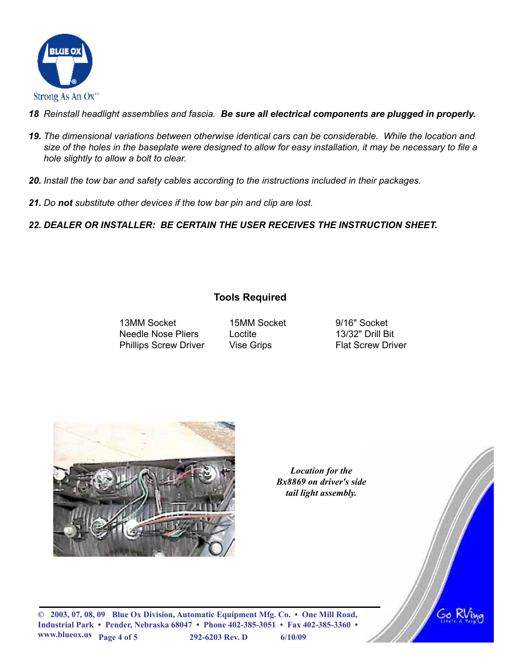

- *18 Reinstall headlight assemblies and fascia. Be sure all electrical components are plugged in properly.*
- *19. The dimensional variations between otherwise identical cars can be considerable. While the location and size of the holes in the baseplate were designed to allow for easy installation, it may be necessary to file a hole slightly to allow a bolt to clear.*
- *20. Install the tow bar and safety cables according to the instructions included in their packages.*
- *21. Do not substitute other devices if the tow bar pin and clip are lost.*

*22. DEALER OR INSTALLER: BE CERTAIN THE USER RECEIVES THE INSTRUCTION SHEET.*

## **Tools Required**

13MM Socket 15MM Socket 9/16" Socket Needle Nose Pliers Loctite 13/32" Drill Bit Phillips Screw Driver Vise Grips Flat Screw Driver



*Location for the Bx8869 on driver's side tail light assembly.*